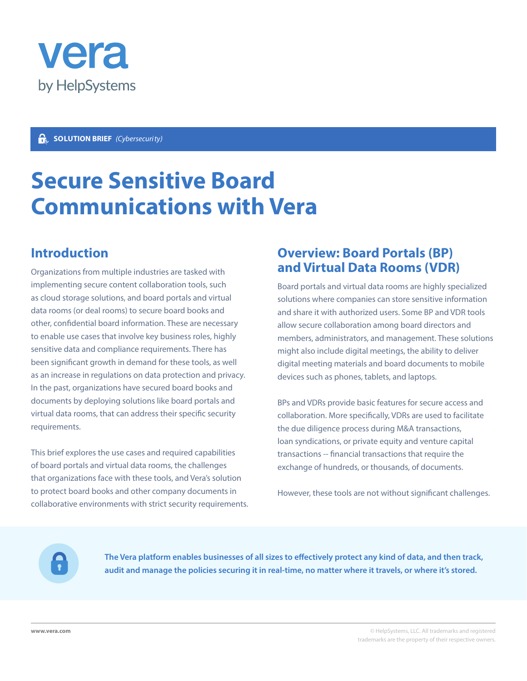

#### **Gs**. **SOLUTION BRIEF** *(Cybersecurity)*

# **Secure Sensitive Board Communications with Vera**

### **Introduction**

Organizations from multiple industries are tasked with implementing secure content collaboration tools, such as cloud storage solutions, and board portals and virtual data rooms (or deal rooms) to secure board books and other, confidential board information. These are necessary to enable use cases that involve key business roles, highly sensitive data and compliance requirements. There has been significant growth in demand for these tools, as well as an increase in regulations on data protection and privacy. In the past, organizations have secured board books and documents by deploying solutions like board portals and virtual data rooms, that can address their specific security requirements.

This brief explores the use cases and required capabilities of board portals and virtual data rooms, the challenges that organizations face with these tools, and Vera's solution to protect board books and other company documents in collaborative environments with strict security requirements.

### **Overview: Board Portals (BP) and Virtual Data Rooms (VDR)**

Board portals and virtual data rooms are highly specialized solutions where companies can store sensitive information and share it with authorized users. Some BP and VDR tools allow secure collaboration among board directors and members, administrators, and management. These solutions might also include digital meetings, the ability to deliver digital meeting materials and board documents to mobile devices such as phones, tablets, and laptops.

BPs and VDRs provide basic features for secure access and collaboration. More specifically, VDRs are used to facilitate the due diligence process during M&A transactions, loan syndications, or private equity and venture capital transactions -- financial transactions that require the exchange of hundreds, or thousands, of documents.

However, these tools are not without significant challenges.

**The Vera platform enables businesses of all sizes to effectively protect any kind of data, and then track, audit and manage the policies securing it in real-time, no matter where it travels, or where it's stored.**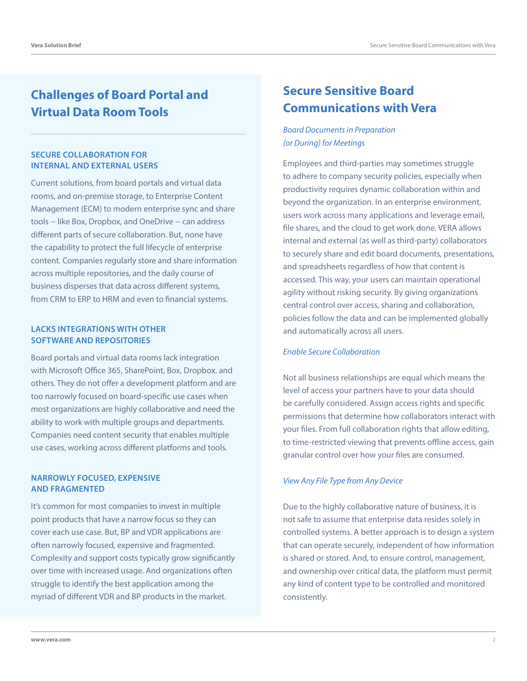### **Challenges of Board Portal and Virtual Data Room Tools**

#### **SECURE COLLABORATION FOR INTERNAL AND EXTERNAL USERS**

Current solutions, from board portals and virtual data rooms, and on-premise storage, to Enterprise Content Management (ECM) to modern enterprise sync and share tools -- like Box, Dropbox, and OneDrive -- can address different parts of secure collaboration. But, none have the capability to protect the full lifecycle of enterprise content. Companies regularly store and share information across multiple repositories, and the daily course of business disperses that data across different systems, from CRM to ERP to HRM and even to financial systems.

#### **LACKS INTEGRATIONS WITH OTHER SOFTWARE AND REPOSITORIES**

Board portals and virtual data rooms lack integration with Microsoft Office 365, SharePoint, Box, Dropbox, and others. They do not offer a development platform and are too narrowly focused on board-specific use cases when most organizations are highly collaborative and need the ability to work with multiple groups and departments. Companies need content security that enables multiple use cases, working across different platforms and tools.

#### **NARROWLY FOCUSED, EXPENSIVE AND FRAGMENTED**

It's common for most companies to invest in multiple point products that have a narrow focus so they can cover each use case. But, BP and VDR applications are often narrowly focused, expensive and fragmented. Complexity and support costs typically grow significantly over time with increased usage. And organizations often struggle to identify the best application among the myriad of different VDR and BP products in the market.

### **Secure Sensitive Board Communications with Vera**

*Board Documents in Preparation (or During) for Meetings*

Employees and third-parties may sometimes struggle to adhere to company security policies, especially when productivity requires dynamic collaboration within and beyond the organization. In an enterprise environment, users work across many applications and leverage email, file shares, and the cloud to get work done. VERA allows internal and external (as well as third-party) collaborators to securely share and edit board documents, presentations, and spreadsheets regardless of how that content is accessed. This way, your users can maintain operational agility without risking security. By giving organizations central control over access, sharing and collaboration, policies follow the data and can be implemented globally and automatically across all users.

#### *Enable Secure Collaboration*

Not all business relationships are equal which means the level of access your partners have to your data should be carefully considered. Assign access rights and specific permissions that determine how collaborators interact with your files. From full collaboration rights that allow editing, to time-restricted viewing that prevents offline access, gain granular control over how your files are consumed.

#### *View Any File Type from Any Device*

Due to the highly collaborative nature of business, it is not safe to assume that enterprise data resides solely in controlled systems. A better approach is to design a system that can operate securely, independent of how information is shared or stored. And, to ensure control, management, and ownership over critical data, the platform must permit any kind of content type to be controlled and monitored consistently.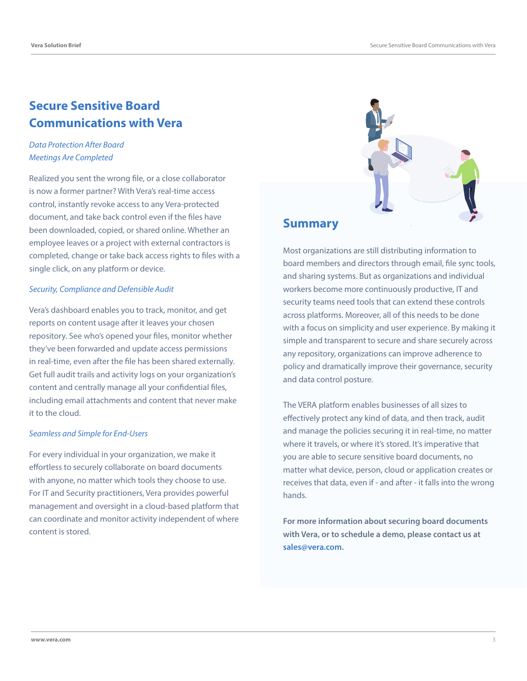### **Secure Sensitive Board Communications with Vera**

#### *Data Protection After Board Meetings Are Completed*

Realized you sent the wrong file, or a close collaborator is now a former partner? With Vera's real-time access control, instantly revoke access to any Vera-protected document, and take back control even if the files have been downloaded, copied, or shared online. Whether an employee leaves or a project with external contractors is completed, change or take back access rights to files with a single click, on any platform or device.

#### *Security, Compliance and Defensible Audit*

Vera's dashboard enables you to track, monitor, and get reports on content usage after it leaves your chosen repository. See who's opened your files, monitor whether they've been forwarded and update access permissions in real-time, even after the file has been shared externally. Get full audit trails and activity logs on your organization's content and centrally manage all your confidential files, including email attachments and content that never make it to the cloud.

#### *Seamless and Simple for End-Users*

For every individual in your organization, we make it effortless to securely collaborate on board documents with anyone, no matter which tools they choose to use. For IT and Security practitioners, Vera provides powerful management and oversight in a cloud-based platform that can coordinate and monitor activity independent of where content is stored.



### **Summary**

Most organizations are still distributing information to board members and directors through email, file sync tools, and sharing systems. But as organizations and individual workers become more continuously productive, IT and security teams need tools that can extend these controls across platforms. Moreover, all of this needs to be done with a focus on simplicity and user experience. By making it simple and transparent to secure and share securely across any repository, organizations can improve adherence to policy and dramatically improve their governance, security and data control posture.

The VERA platform enables businesses of all sizes to effectively protect any kind of data, and then track, audit and manage the policies securing it in real-time, no matter where it travels, or where it's stored. It's imperative that you are able to secure sensitive board documents, no matter what device, person, cloud or application creates or receives that data, even if - and after - it falls into the wrong hands.

**For more information about securing board documents with Vera, or to schedule a demo, please contact us at sales@vera.com.**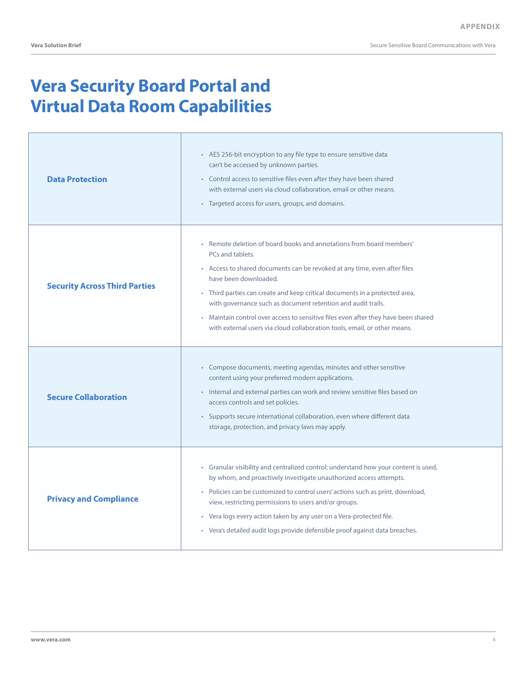Secure Sensitive Board Communications with Vera

# **Vera Security Board Portal and Virtual Data Room Capabilities**

| <b>Data Protection</b>               | • AES 256-bit encryption to any file type to ensure sensitive data<br>can't be accessed by unknown parties.<br>• Control access to sensitive files even after they have been shared<br>with external users via cloud collaboration, email or other means.<br>• Targeted access for users, groups, and domains.                                                                                                                                                                                                   |
|--------------------------------------|------------------------------------------------------------------------------------------------------------------------------------------------------------------------------------------------------------------------------------------------------------------------------------------------------------------------------------------------------------------------------------------------------------------------------------------------------------------------------------------------------------------|
| <b>Security Across Third Parties</b> | • Remote deletion of board books and annotations from board members'<br>PCs and tablets.<br>• Access to shared documents can be revoked at any time, even after files<br>have been downloaded.<br>• Third parties can create and keep critical documents in a protected area,<br>with governance such as document retention and audit trails.<br>• Maintain control over access to sensitive files even after they have been shared<br>with external users via cloud collaboration tools, email, or other means. |
| <b>Secure Collaboration</b>          | • Compose documents, meeting agendas, minutes and other sensitive<br>content using your preferred modern applications.<br>• Internal and external parties can work and review sensitive files based on<br>access controls and set policies.<br>• Supports secure international collaboration, even where different data<br>storage, protection, and privacy laws may apply.                                                                                                                                      |
| <b>Privacy and Compliance</b>        | • Granular visibility and centralized control; understand how your content is used,<br>by whom, and proactively investigate unauthorized access attempts.<br>• Policies can be customized to control users' actions such as print, download,<br>view, restricting permissions to users and/or groups.<br>• Vera logs every action taken by any user on a Vera-protected file.<br>· Vera's detailed audit logs provide defensible proof against data breaches.                                                    |